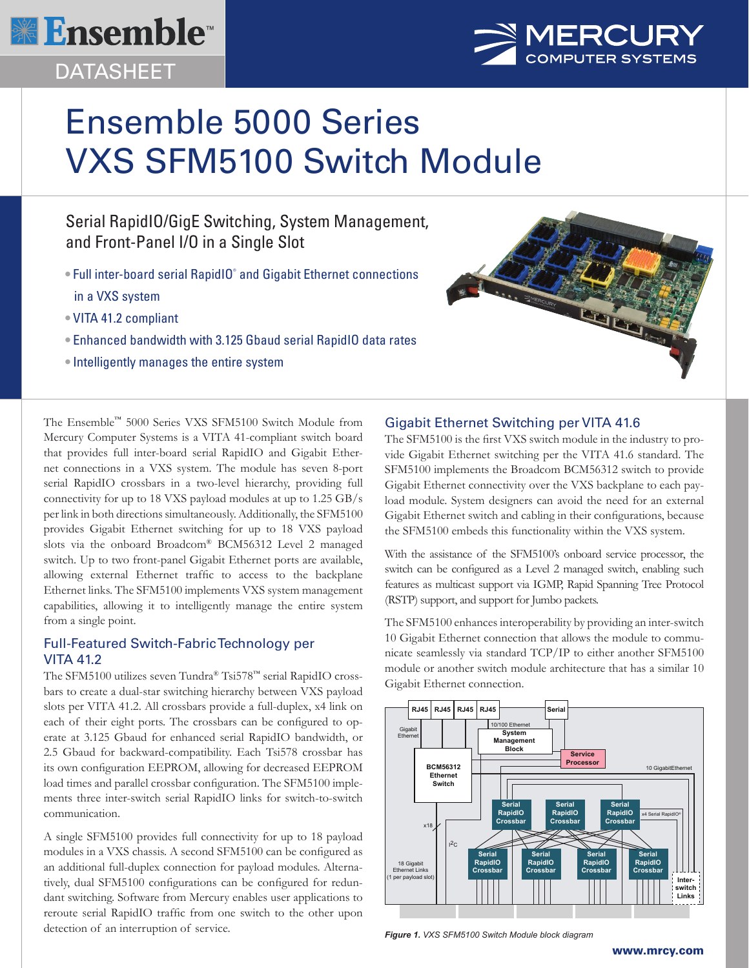

# DATASHEET



# Ensemble 5000 Series VXS SFM5100 Switch Module

Serial RapidIO/GigE Switching, System Management, and Front-Panel I/O in a Single Slot

- Full inter-board serial RapidIO<sup>®</sup> and Gigabit Ethernet connections in a VXS system
- VITA 41.2 compliant
- Enhanced bandwidth with 3.125 Gbaud serial RapidIO data rates
- Intelligently manages the entire system



The Ensemble™ 5000 Series VXS SFM5100 Switch Module from Mercury Computer Systems is a VITA 41-compliant switch board that provides full inter-board serial RapidIO and Gigabit Ethernet connections in a VXS system. The module has seven 8-port serial RapidIO crossbars in a two-level hierarchy, providing full connectivity for up to 18 VXS payload modules at up to 1.25 GB/s per link in both directions simultaneously. Additionally, the SFM5100 provides Gigabit Ethernet switching for up to 18 VXS payload slots via the onboard Broadcom® BCM56312 Level 2 managed switch. Up to two front-panel Gigabit Ethernet ports are available, allowing external Ethernet traffic to access to the backplane Ethernet links. The SFM5100 implements VXS system management capabilities, allowing it to intelligently manage the entire system from a single point.

## Full-Featured Switch-Fabric Technology per VITA 41.2

The SFM5100 utilizes seven Tundra® Tsi578™ serial RapidIO crossbars to create a dual-star switching hierarchy between VXS payload slots per VITA 41.2. All crossbars provide a full-duplex, x4 link on each of their eight ports. The crossbars can be configured to operate at 3.125 Gbaud for enhanced serial RapidIO bandwidth, or 2.5 Gbaud for backward-compatibility. Each Tsi578 crossbar has its own configuration EEPROM, allowing for decreased EEPROM load times and parallel crossbar configuration. The SFM5100 implements three inter-switch serial RapidIO links for switch-to-switch communication.

A single SFM5100 provides full connectivity for up to 18 payload modules in a VXS chassis. A second SFM5100 can be configured as an additional full-duplex connection for payload modules. Alternatively, dual SFM5100 configurations can be configured for redundant switching. Software from Mercury enables user applications to reroute serial RapidIO traffic from one switch to the other upon detection of an interruption of service.

### Gigabit Ethernet Switching per VITA 41.6

The SFM5100 is the first VXS switch module in the industry to provide Gigabit Ethernet switching per the VITA 41.6 standard. The SFM5100 implements the Broadcom BCM56312 switch to provide Gigabit Ethernet connectivity over the VXS backplane to each payload module. System designers can avoid the need for an external Gigabit Ethernet switch and cabling in their configurations, because the SFM5100 embeds this functionality within the VXS system.

With the assistance of the SFM5100's onboard service processor, the switch can be configured as a Level 2 managed switch, enabling such features as multicast support via IGMP, Rapid Spanning Tree Protocol (RSTP) support, and support for Jumbo packets.

The SFM5100 enhances interoperability by providing an inter-switch 10 Gigabit Ethernet connection that allows the module to communicate seamlessly via standard TCP/IP to either another SFM5100 module or another switch module architecture that has a similar 10 Gigabit Ethernet connection.



*Figure 1. VXS SFM5100 Switch Module block diagram*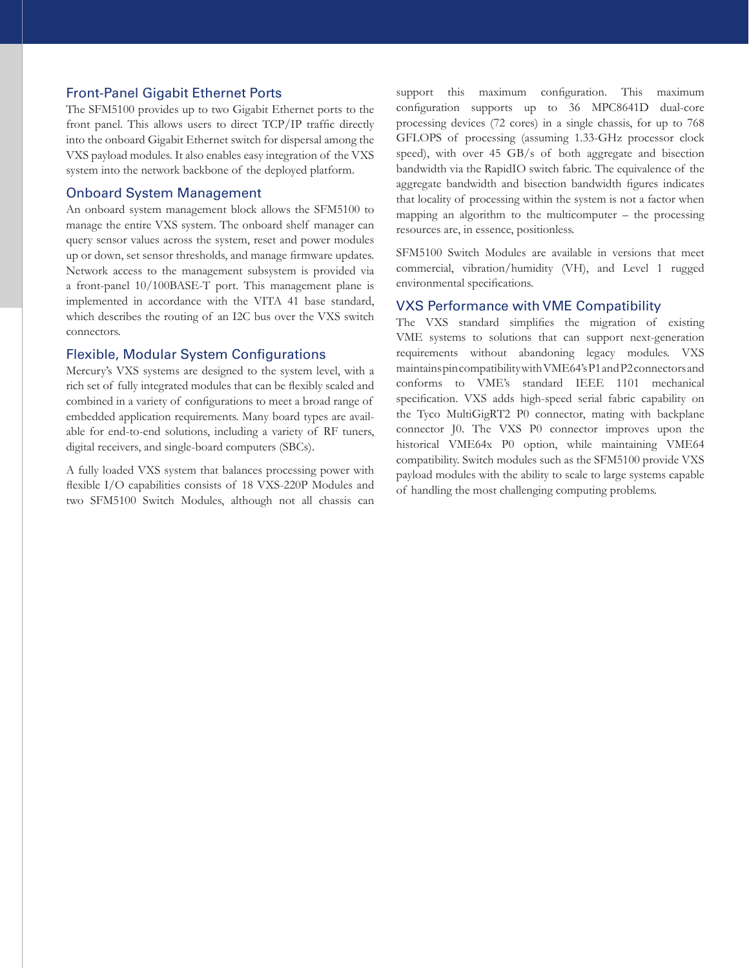#### Front-Panel Gigabit Ethernet Ports

The SFM5100 provides up to two Gigabit Ethernet ports to the front panel. This allows users to direct TCP/IP traffic directly into the onboard Gigabit Ethernet switch for dispersal among the VXS payload modules. It also enables easy integration of the VXS system into the network backbone of the deployed platform.

#### Onboard System Management

An onboard system management block allows the SFM5100 to manage the entire VXS system. The onboard shelf manager can query sensor values across the system, reset and power modules up or down, set sensor thresholds, and manage firmware updates. Network access to the management subsystem is provided via a front-panel 10/100BASE-T port. This management plane is implemented in accordance with the VITA 41 base standard, which describes the routing of an I2C bus over the VXS switch connectors.

#### Flexible, Modular System Configurations

Mercury's VXS systems are designed to the system level, with a rich set of fully integrated modules that can be flexibly scaled and combined in a variety of configurations to meet a broad range of embedded application requirements. Many board types are available for end-to-end solutions, including a variety of RF tuners, digital receivers, and single-board computers (SBCs).

A fully loaded VXS system that balances processing power with flexible I/O capabilities consists of 18 VXS-220P Modules and two SFM5100 Switch Modules, although not all chassis can support this maximum configuration. This maximum configuration supports up to 36 MPC8641D dual-core processing devices (72 cores) in a single chassis, for up to 768 GFLOPS of processing (assuming 1.33-GHz processor clock speed), with over 45 GB/s of both aggregate and bisection bandwidth via the RapidIO switch fabric. The equivalence of the aggregate bandwidth and bisection bandwidth figures indicates that locality of processing within the system is not a factor when mapping an algorithm to the multicomputer – the processing resources are, in essence, positionless.

SFM5100 Switch Modules are available in versions that meet commercial, vibration/humidity (VH), and Level 1 rugged environmental specifications.

#### VXS Performance with VME Compatibility

The VXS standard simplifies the migration of existing VME systems to solutions that can support next-generation requirements without abandoning legacy modules. VXS maintains pin compatibility with VME64's P1 and P2 connectors and conforms to VME's standard IEEE 1101 mechanical specification. VXS adds high-speed serial fabric capability on the Tyco MultiGigRT2 P0 connector, mating with backplane connector J0. The VXS P0 connector improves upon the historical VME64x P0 option, while maintaining VME64 compatibility. Switch modules such as the SFM5100 provide VXS payload modules with the ability to scale to large systems capable of handling the most challenging computing problems.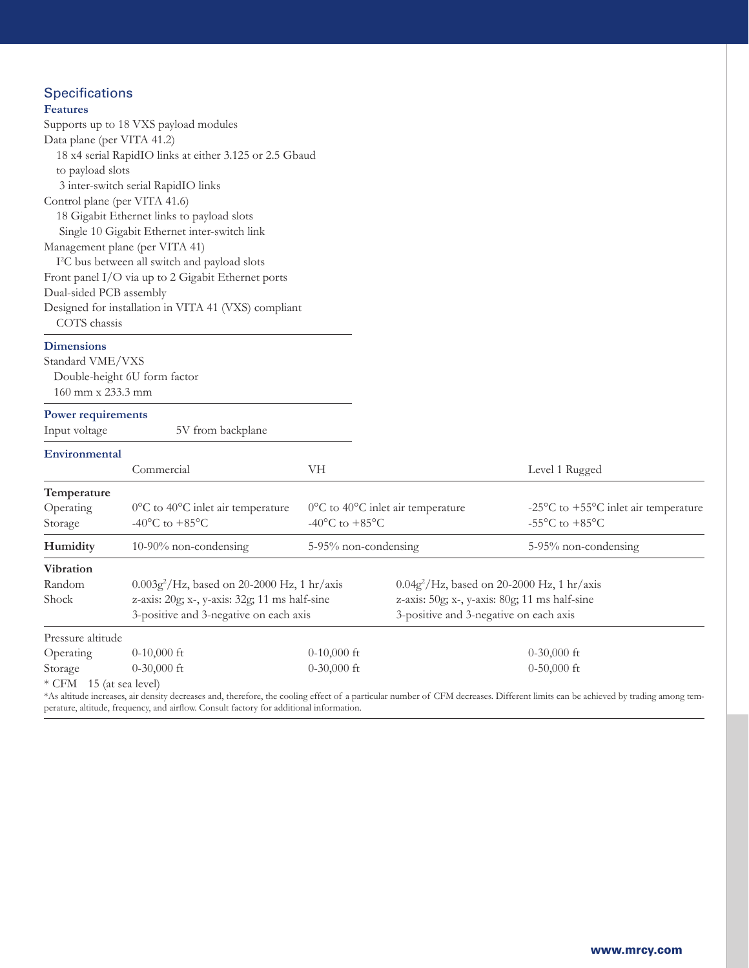## **Specifications**

| <b>Features</b>                                      |                                                                                         |                                                        |                                               |                                                                                                                                                                                  |
|------------------------------------------------------|-----------------------------------------------------------------------------------------|--------------------------------------------------------|-----------------------------------------------|----------------------------------------------------------------------------------------------------------------------------------------------------------------------------------|
|                                                      | Supports up to 18 VXS payload modules                                                   |                                                        |                                               |                                                                                                                                                                                  |
| Data plane (per VITA 41.2)                           |                                                                                         |                                                        |                                               |                                                                                                                                                                                  |
|                                                      | 18 x4 serial RapidIO links at either 3.125 or 2.5 Gbaud                                 |                                                        |                                               |                                                                                                                                                                                  |
| to payload slots                                     |                                                                                         |                                                        |                                               |                                                                                                                                                                                  |
|                                                      | 3 inter-switch serial RapidIO links                                                     |                                                        |                                               |                                                                                                                                                                                  |
| Control plane (per VITA 41.6)                        |                                                                                         |                                                        |                                               |                                                                                                                                                                                  |
|                                                      | 18 Gigabit Ethernet links to payload slots                                              |                                                        |                                               |                                                                                                                                                                                  |
|                                                      | Single 10 Gigabit Ethernet inter-switch link                                            |                                                        |                                               |                                                                                                                                                                                  |
|                                                      | Management plane (per VITA 41)                                                          |                                                        |                                               |                                                                                                                                                                                  |
|                                                      | I <sup>2</sup> C bus between all switch and payload slots                               |                                                        |                                               |                                                                                                                                                                                  |
|                                                      | Front panel I/O via up to 2 Gigabit Ethernet ports                                      |                                                        |                                               |                                                                                                                                                                                  |
| Dual-sided PCB assembly                              |                                                                                         |                                                        |                                               |                                                                                                                                                                                  |
| Designed for installation in VITA 41 (VXS) compliant |                                                                                         |                                                        |                                               |                                                                                                                                                                                  |
| COTS chassis                                         |                                                                                         |                                                        |                                               |                                                                                                                                                                                  |
| <b>Dimensions</b>                                    |                                                                                         |                                                        |                                               |                                                                                                                                                                                  |
| Standard VME/VXS                                     |                                                                                         |                                                        |                                               |                                                                                                                                                                                  |
|                                                      | Double-height 6U form factor                                                            |                                                        |                                               |                                                                                                                                                                                  |
| $160$ mm x 233.3 mm                                  |                                                                                         |                                                        |                                               |                                                                                                                                                                                  |
|                                                      |                                                                                         |                                                        |                                               |                                                                                                                                                                                  |
| <b>Power requirements</b>                            |                                                                                         |                                                        |                                               |                                                                                                                                                                                  |
| Input voltage                                        | 5V from backplane                                                                       |                                                        |                                               |                                                                                                                                                                                  |
| Environmental                                        |                                                                                         |                                                        |                                               |                                                                                                                                                                                  |
|                                                      | Commercial                                                                              | VH                                                     |                                               | Level 1 Rugged                                                                                                                                                                   |
| Temperature                                          |                                                                                         |                                                        |                                               |                                                                                                                                                                                  |
| Operating                                            | 0°C to 40°C inlet air temperature                                                       | $0^{\circ}$ C to 40 $^{\circ}$ C inlet air temperature |                                               | -25 $\mathrm{^{\circ}C}$ to +55 $\mathrm{^{\circ}C}$ inlet air temperature                                                                                                       |
| Storage                                              | -40 $^{\circ}$ C to +85 $^{\circ}$ C                                                    | -40 $^{\circ}$ C to +85 $^{\circ}$ C                   |                                               | -55 $\mathrm{^{\circ}C}$ to +85 $\mathrm{^{\circ}C}$                                                                                                                             |
| Humidity                                             | 10-90% non-condensing                                                                   | 5-95% non-condensing                                   |                                               | 5-95% non-condensing                                                                                                                                                             |
| <b>Vibration</b>                                     |                                                                                         |                                                        |                                               |                                                                                                                                                                                  |
| Random                                               | $0.003g^2$ /Hz, based on 20-2000 Hz, 1 hr/axis                                          |                                                        | $0.04g^2$ /Hz, based on 20-2000 Hz, 1 hr/axis |                                                                                                                                                                                  |
| Shock                                                | z-axis: 20g; x-, y-axis: 32g; 11 ms half-sine                                           |                                                        | z-axis: 50g; x-, y-axis: 80g; 11 ms half-sine |                                                                                                                                                                                  |
|                                                      | 3-positive and 3-negative on each axis                                                  |                                                        | 3-positive and 3-negative on each axis        |                                                                                                                                                                                  |
| Pressure altitude                                    |                                                                                         |                                                        |                                               |                                                                                                                                                                                  |
| Operating                                            | $0-10,000$ ft                                                                           | $0-10,000$ ft                                          |                                               | $0-30,000$ ft                                                                                                                                                                    |
| Storage                                              | $0-30,000$ ft                                                                           | $0-30,000$ ft                                          |                                               | $0-50,000$ ft                                                                                                                                                                    |
| * CFM 15 (at sea level)                              |                                                                                         |                                                        |                                               |                                                                                                                                                                                  |
|                                                      |                                                                                         |                                                        |                                               | *As altitude increases, air density decreases and, therefore, the cooling effect of a particular number of CFM decreases. Different limits can be achieved by trading among tem- |
|                                                      | perature, altitude, frequency, and airflow. Consult factory for additional information. |                                                        |                                               |                                                                                                                                                                                  |